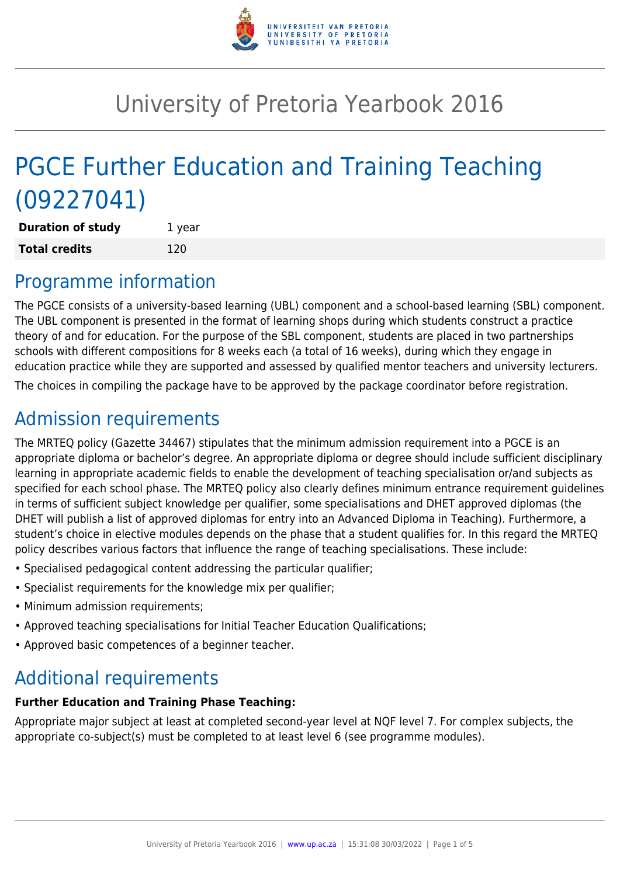

# University of Pretoria Yearbook 2016

# PGCE Further Education and Training Teaching (09227041)

**Duration of study** 1 year **Total credits** 120

## Programme information

The PGCE consists of a university-based learning (UBL) component and a school-based learning (SBL) component. The UBL component is presented in the format of learning shops during which students construct a practice theory of and for education. For the purpose of the SBL component, students are placed in two partnerships schools with different compositions for 8 weeks each (a total of 16 weeks), during which they engage in education practice while they are supported and assessed by qualified mentor teachers and university lecturers. The choices in compiling the package have to be approved by the package coordinator before registration.

# Admission requirements

The MRTEQ policy (Gazette 34467) stipulates that the minimum admission requirement into a PGCE is an appropriate diploma or bachelor's degree. An appropriate diploma or degree should include sufficient disciplinary learning in appropriate academic fields to enable the development of teaching specialisation or/and subjects as specified for each school phase. The MRTEQ policy also clearly defines minimum entrance requirement guidelines in terms of sufficient subject knowledge per qualifier, some specialisations and DHET approved diplomas (the DHET will publish a list of approved diplomas for entry into an Advanced Diploma in Teaching). Furthermore, a student's choice in elective modules depends on the phase that a student qualifies for. In this regard the MRTEQ policy describes various factors that influence the range of teaching specialisations. These include:

- Specialised pedagogical content addressing the particular qualifier;
- Specialist requirements for the knowledge mix per qualifier;
- Minimum admission requirements;
- Approved teaching specialisations for Initial Teacher Education Qualifications;
- Approved basic competences of a beginner teacher.

## Additional requirements

#### **Further Education and Training Phase Teaching:**

Appropriate major subject at least at completed second-year level at NQF level 7. For complex subjects, the appropriate co-subject(s) must be completed to at least level 6 (see programme modules).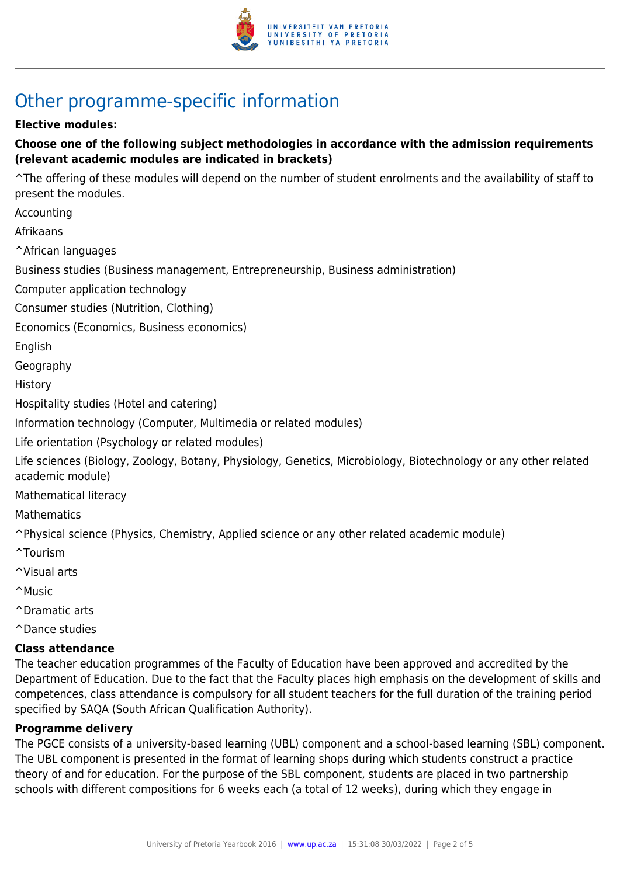

# Other programme-specific information

#### **Elective modules:**

#### **Choose one of the following subject methodologies in accordance with the admission requirements (relevant academic modules are indicated in brackets)**

^The offering of these modules will depend on the number of student enrolments and the availability of staff to present the modules.

Accounting

Afrikaans

^African languages

Business studies (Business management, Entrepreneurship, Business administration)

Computer application technology

Consumer studies (Nutrition, Clothing)

Economics (Economics, Business economics)

English

Geography

History

Hospitality studies (Hotel and catering)

Information technology (Computer, Multimedia or related modules)

Life orientation (Psychology or related modules)

Life sciences (Biology, Zoology, Botany, Physiology, Genetics, Microbiology, Biotechnology or any other related academic module)

Mathematical literacy

**Mathematics** 

^Physical science (Physics, Chemistry, Applied science or any other related academic module)

- ^Tourism
- ^Visual arts
- ^Music
- ^Dramatic arts

^Dance studies

#### **Class attendance**

The teacher education programmes of the Faculty of Education have been approved and accredited by the Department of Education. Due to the fact that the Faculty places high emphasis on the development of skills and competences, class attendance is compulsory for all student teachers for the full duration of the training period specified by SAQA (South African Qualification Authority).

#### **Programme delivery**

The PGCE consists of a university-based learning (UBL) component and a school-based learning (SBL) component. The UBL component is presented in the format of learning shops during which students construct a practice theory of and for education. For the purpose of the SBL component, students are placed in two partnership schools with different compositions for 6 weeks each (a total of 12 weeks), during which they engage in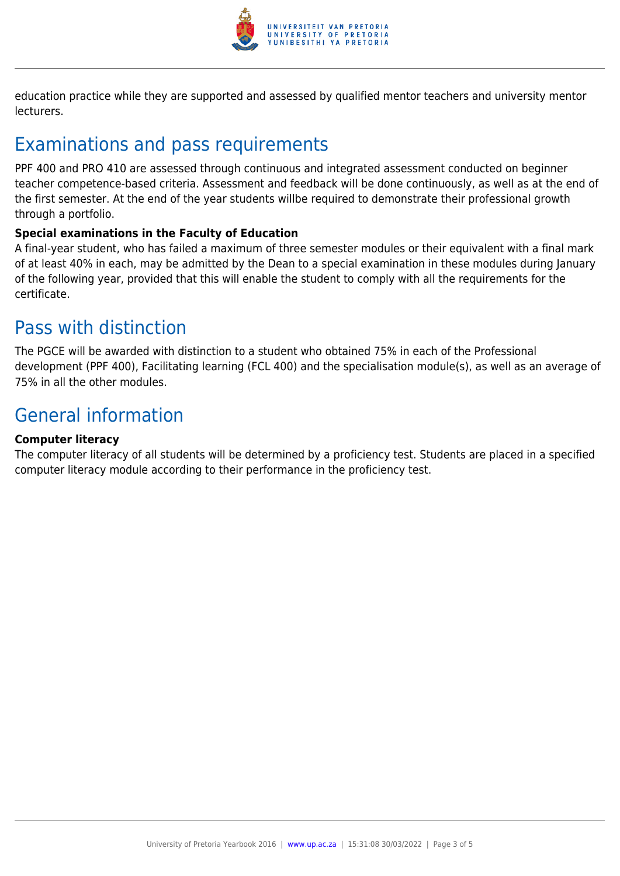

education practice while they are supported and assessed by qualified mentor teachers and university mentor lecturers.

# Examinations and pass requirements

PPF 400 and PRO 410 are assessed through continuous and integrated assessment conducted on beginner teacher competence-based criteria. Assessment and feedback will be done continuously, as well as at the end of the first semester. At the end of the year students willbe required to demonstrate their professional growth through a portfolio.

#### **Special examinations in the Faculty of Education**

A final-year student, who has failed a maximum of three semester modules or their equivalent with a final mark of at least 40% in each, may be admitted by the Dean to a special examination in these modules during January of the following year, provided that this will enable the student to comply with all the requirements for the certificate.

### Pass with distinction

The PGCE will be awarded with distinction to a student who obtained 75% in each of the Professional development (PPF 400), Facilitating learning (FCL 400) and the specialisation module(s), as well as an average of 75% in all the other modules.

# General information

#### **Computer literacy**

The computer literacy of all students will be determined by a proficiency test. Students are placed in a specified computer literacy module according to their performance in the proficiency test.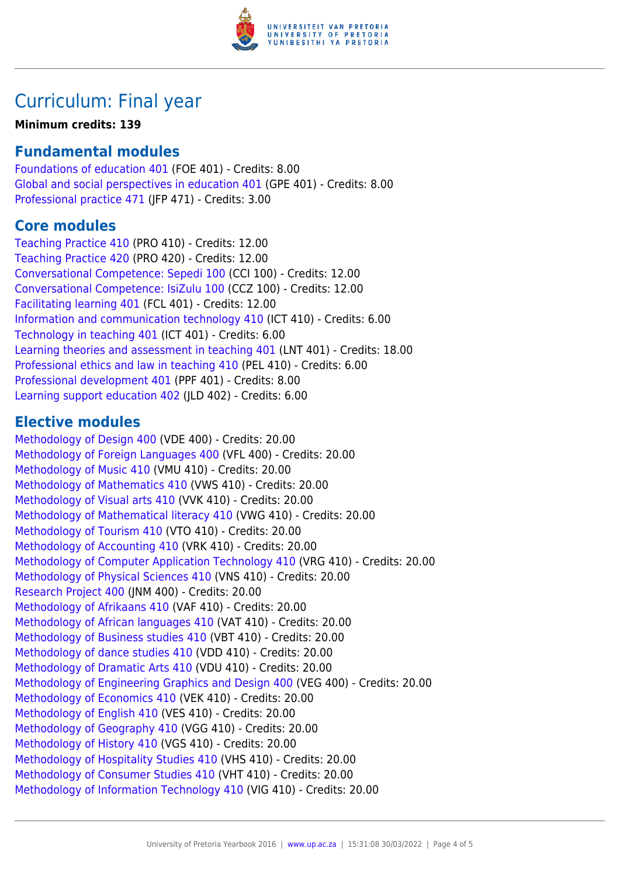

# Curriculum: Final year

#### **Minimum credits: 139**

#### **Fundamental modules**

[Foundations of education 401](https://www.up.ac.za/mechanical-and-aeronautical-engineering/yearbooks/2016/modules/view/FOE 401) (FOE 401) - Credits: 8.00 [Global and social perspectives in education 401](https://www.up.ac.za/mechanical-and-aeronautical-engineering/yearbooks/2016/modules/view/GPE 401) (GPE 401) - Credits: 8.00 [Professional practice 471](https://www.up.ac.za/mechanical-and-aeronautical-engineering/yearbooks/2016/modules/view/JFP 471) (JFP 471) - Credits: 3.00

#### **Core modules**

[Teaching Practice 410](https://www.up.ac.za/mechanical-and-aeronautical-engineering/yearbooks/2016/modules/view/PRO 410) (PRO 410) - Credits: 12.00 [Teaching Practice 420](https://www.up.ac.za/mechanical-and-aeronautical-engineering/yearbooks/2016/modules/view/PRO 420) (PRO 420) - Credits: 12.00 [Conversational Competence: Sepedi 100](https://www.up.ac.za/mechanical-and-aeronautical-engineering/yearbooks/2016/modules/view/CCI 100) (CCI 100) - Credits: 12.00 [Conversational Competence: IsiZulu 100](https://www.up.ac.za/mechanical-and-aeronautical-engineering/yearbooks/2016/modules/view/CCZ 100) (CCZ 100) - Credits: 12.00 [Facilitating learning 401](https://www.up.ac.za/mechanical-and-aeronautical-engineering/yearbooks/2016/modules/view/FCL 401) (FCL 401) - Credits: 12.00 [Information and communication technology 410](https://www.up.ac.za/mechanical-and-aeronautical-engineering/yearbooks/2016/modules/view/ICT 410) (ICT 410) - Credits: 6.00 [Technology in teaching 401](https://www.up.ac.za/mechanical-and-aeronautical-engineering/yearbooks/2016/modules/view/ICT 401) (ICT 401) - Credits: 6.00 [Learning theories and assessment in teaching 401](https://www.up.ac.za/mechanical-and-aeronautical-engineering/yearbooks/2016/modules/view/LNT 401) (LNT 401) - Credits: 18.00 [Professional ethics and law in teaching 410](https://www.up.ac.za/mechanical-and-aeronautical-engineering/yearbooks/2016/modules/view/PEL 410) (PEL 410) - Credits: 6.00 [Professional development 401](https://www.up.ac.za/mechanical-and-aeronautical-engineering/yearbooks/2016/modules/view/PPF 401) (PPF 401) - Credits: 8.00 [Learning support education 402](https://www.up.ac.za/mechanical-and-aeronautical-engineering/yearbooks/2016/modules/view/JLD 402) (JLD 402) - Credits: 6.00

#### **Elective modules**

[Methodology of Design 400](https://www.up.ac.za/mechanical-and-aeronautical-engineering/yearbooks/2016/modules/view/VDE 400) (VDE 400) - Credits: 20.00 [Methodology of Foreign Languages 400](https://www.up.ac.za/mechanical-and-aeronautical-engineering/yearbooks/2016/modules/view/VFL 400) (VFL 400) - Credits: 20.00 [Methodology of Music 410](https://www.up.ac.za/mechanical-and-aeronautical-engineering/yearbooks/2016/modules/view/VMU 410) (VMU 410) - Credits: 20.00 [Methodology of Mathematics 410](https://www.up.ac.za/mechanical-and-aeronautical-engineering/yearbooks/2016/modules/view/VWS 410) (VWS 410) - Credits: 20.00 [Methodology of Visual arts 410](https://www.up.ac.za/mechanical-and-aeronautical-engineering/yearbooks/2016/modules/view/VVK 410) (VVK 410) - Credits: 20.00 [Methodology of Mathematical literacy 410](https://www.up.ac.za/mechanical-and-aeronautical-engineering/yearbooks/2016/modules/view/VWG 410) (VWG 410) - Credits: 20.00 [Methodology of Tourism 410](https://www.up.ac.za/mechanical-and-aeronautical-engineering/yearbooks/2016/modules/view/VTO 410) (VTO 410) - Credits: 20.00 [Methodology of Accounting 410](https://www.up.ac.za/mechanical-and-aeronautical-engineering/yearbooks/2016/modules/view/VRK 410) (VRK 410) - Credits: 20.00 [Methodology of Computer Application Technology 410](https://www.up.ac.za/mechanical-and-aeronautical-engineering/yearbooks/2016/modules/view/VRG 410) (VRG 410) - Credits: 20.00 [Methodology of Physical Sciences 410](https://www.up.ac.za/mechanical-and-aeronautical-engineering/yearbooks/2016/modules/view/VNS 410) (VNS 410) - Credits: 20.00 [Research Project 400](https://www.up.ac.za/mechanical-and-aeronautical-engineering/yearbooks/2016/modules/view/JNM 400) (JNM 400) - Credits: 20.00 [Methodology of Afrikaans 410](https://www.up.ac.za/mechanical-and-aeronautical-engineering/yearbooks/2016/modules/view/VAF 410) (VAF 410) - Credits: 20.00 [Methodology of African languages 410](https://www.up.ac.za/mechanical-and-aeronautical-engineering/yearbooks/2016/modules/view/VAT 410) (VAT 410) - Credits: 20.00 [Methodology of Business studies 410](https://www.up.ac.za/mechanical-and-aeronautical-engineering/yearbooks/2016/modules/view/VBT 410) (VBT 410) - Credits: 20.00 [Methodology of dance studies 410](https://www.up.ac.za/mechanical-and-aeronautical-engineering/yearbooks/2016/modules/view/VDD 410) (VDD 410) - Credits: 20.00 [Methodology of Dramatic Arts 410](https://www.up.ac.za/mechanical-and-aeronautical-engineering/yearbooks/2016/modules/view/VDU 410) (VDU 410) - Credits: 20.00 [Methodology of Engineering Graphics and Design 400](https://www.up.ac.za/mechanical-and-aeronautical-engineering/yearbooks/2016/modules/view/VEG 400) (VEG 400) - Credits: 20.00 [Methodology of Economics 410](https://www.up.ac.za/mechanical-and-aeronautical-engineering/yearbooks/2016/modules/view/VEK 410) (VEK 410) - Credits: 20.00 [Methodology of English 410](https://www.up.ac.za/mechanical-and-aeronautical-engineering/yearbooks/2016/modules/view/VES 410) (VES 410) - Credits: 20.00 [Methodology of Geography 410](https://www.up.ac.za/mechanical-and-aeronautical-engineering/yearbooks/2016/modules/view/VGG 410) (VGG 410) - Credits: 20.00 [Methodology of History 410](https://www.up.ac.za/mechanical-and-aeronautical-engineering/yearbooks/2016/modules/view/VGS 410) (VGS 410) - Credits: 20.00 [Methodology of Hospitality Studies 410](https://www.up.ac.za/mechanical-and-aeronautical-engineering/yearbooks/2016/modules/view/VHS 410) (VHS 410) - Credits: 20.00 [Methodology of Consumer Studies 410](https://www.up.ac.za/mechanical-and-aeronautical-engineering/yearbooks/2016/modules/view/VHT 410) (VHT 410) - Credits: 20.00 [Methodology of Information Technology 410](https://www.up.ac.za/mechanical-and-aeronautical-engineering/yearbooks/2016/modules/view/VIG 410) (VIG 410) - Credits: 20.00